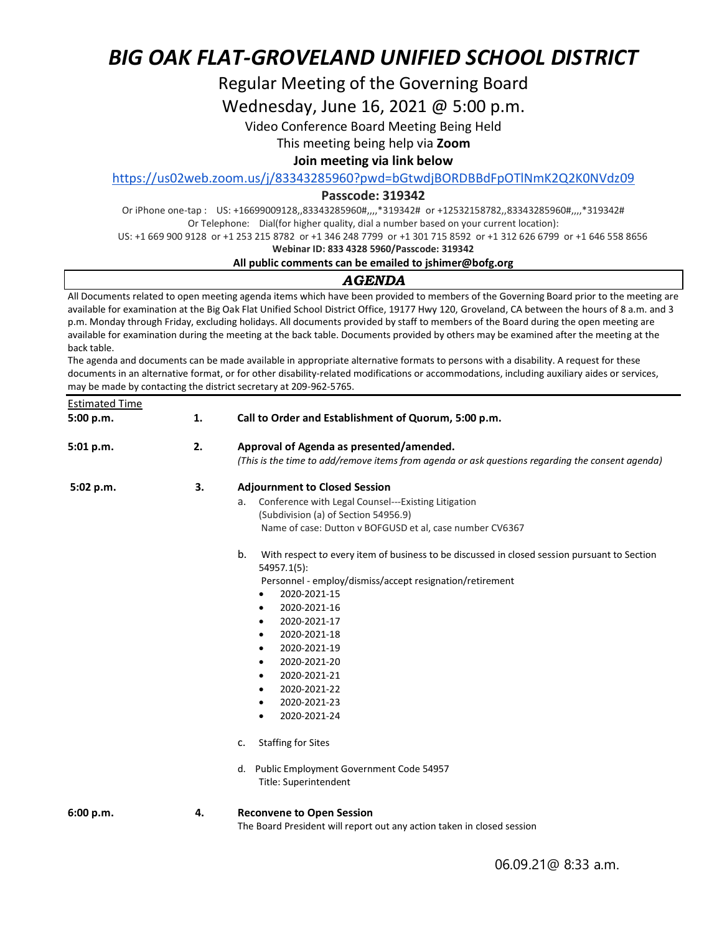# Regular Meeting of the Governing Board

Wednesday, June 16, 2021 @ 5:00 p.m.

Video Conference Board Meeting Being Held

This meeting being help via **Zoom**

# **Join meeting via link below**

<https://us02web.zoom.us/j/83343285960?pwd=bGtwdjBORDBBdFpOTlNmK2Q2K0NVdz09>

### **Passcode: 319342**

Or iPhone one-tap : US: +16699009128,,83343285960#,,,,\*319342# or +12532158782,,83343285960#,,,,\*319342# Or Telephone: Dial(for higher quality, dial a number based on your current location):

US: +1 669 900 9128 or +1 253 215 8782 or +1 346 248 7799 or +1 301 715 8592 or +1 312 626 6799 or +1 646 558 8656

#### **Webinar ID: 833 4328 5960/Passcode: 319342**

### **All public comments can be emailed to jshimer@bofg.org**

# *AGENDA*

All Documents related to open meeting agenda items which have been provided to members of the Governing Board prior to the meeting are available for examination at the Big Oak Flat Unified School District Office, 19177 Hwy 120, Groveland, CA between the hours of 8 a.m. and 3 p.m. Monday through Friday, excluding holidays. All documents provided by staff to members of the Board during the open meeting are available for examination during the meeting at the back table. Documents provided by others may be examined after the meeting at the back table.

The agenda and documents can be made available in appropriate alternative formats to persons with a disability. A request for these documents in an alternative format, or for other disability-related modifications or accommodations, including auxiliary aides or services, may be made by contacting the district secretary at 209-962-5765.

| <b>Estimated Time</b> |    |                                                                                                                   |  |  |
|-----------------------|----|-------------------------------------------------------------------------------------------------------------------|--|--|
| 5:00 p.m.             | 1. | Call to Order and Establishment of Quorum, 5:00 p.m.                                                              |  |  |
| 5:01 p.m.             | 2. | Approval of Agenda as presented/amended.                                                                          |  |  |
|                       |    | (This is the time to add/remove items from agenda or ask questions regarding the consent agenda)                  |  |  |
| 5:02 p.m.             | 3. | <b>Adjournment to Closed Session</b>                                                                              |  |  |
|                       |    | Conference with Legal Counsel---Existing Litigation<br>a.                                                         |  |  |
|                       |    | (Subdivision (a) of Section 54956.9)                                                                              |  |  |
|                       |    | Name of case: Dutton v BOFGUSD et al, case number CV6367                                                          |  |  |
|                       |    | b.<br>With respect to every item of business to be discussed in closed session pursuant to Section<br>54957.1(5): |  |  |
|                       |    | Personnel - employ/dismiss/accept resignation/retirement                                                          |  |  |
|                       |    | 2020-2021-15<br>٠                                                                                                 |  |  |
|                       |    | 2020-2021-16<br>$\bullet$                                                                                         |  |  |
|                       |    | 2020-2021-17<br>$\bullet$                                                                                         |  |  |
|                       |    | 2020-2021-18<br>$\bullet$                                                                                         |  |  |
|                       |    | 2020-2021-19<br>$\bullet$                                                                                         |  |  |
|                       |    | 2020-2021-20<br>$\bullet$                                                                                         |  |  |
|                       |    | 2020-2021-21<br>$\bullet$                                                                                         |  |  |
|                       |    | 2020-2021-22<br>$\bullet$                                                                                         |  |  |
|                       |    | 2020-2021-23<br>$\bullet$                                                                                         |  |  |
|                       |    | 2020-2021-24<br>$\bullet$                                                                                         |  |  |
|                       |    | <b>Staffing for Sites</b><br>c.                                                                                   |  |  |
|                       |    | d. Public Employment Government Code 54957<br>Title: Superintendent                                               |  |  |
| 6:00 p.m.             | 4. | <b>Reconvene to Open Session</b><br>The Board President will report out any action taken in closed session        |  |  |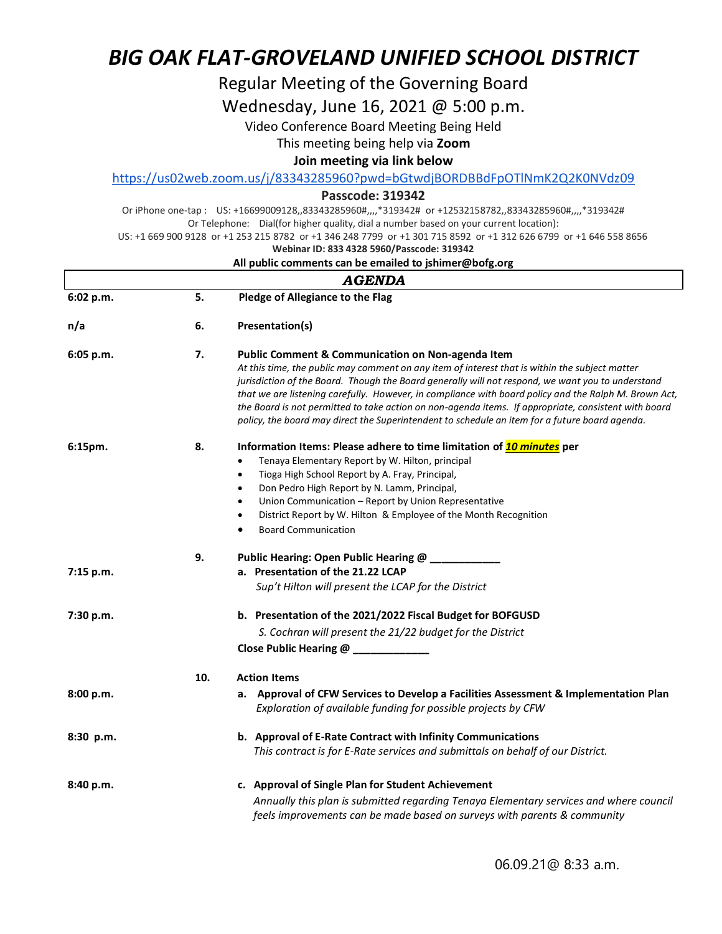# Regular Meeting of the Governing Board

Wednesday, June 16, 2021 @ 5:00 p.m.

Video Conference Board Meeting Being Held

This meeting being help via **Zoom**

# **Join meeting via link below**

<https://us02web.zoom.us/j/83343285960?pwd=bGtwdjBORDBBdFpOTlNmK2Q2K0NVdz09>

# **Passcode: 319342**

Or iPhone one-tap : US: +16699009128,,83343285960#,,,,\*319342# or +12532158782,,83343285960#,,,,\*319342# Or Telephone: Dial(for higher quality, dial a number based on your current location):

US: +1 669 900 9128 or +1 253 215 8782 or +1 346 248 7799 or +1 301 715 8592 or +1 312 626 6799 or +1 646 558 8656

#### **Webinar ID: 833 4328 5960/Passcode: 319342**

#### **All public comments can be emailed to jshimer@bofg.org**

| <b>AGENDA</b> |     |                                                                                                                                                                                                                                                                                                                                                                                                                                                                                                                                                                                        |  |  |  |
|---------------|-----|----------------------------------------------------------------------------------------------------------------------------------------------------------------------------------------------------------------------------------------------------------------------------------------------------------------------------------------------------------------------------------------------------------------------------------------------------------------------------------------------------------------------------------------------------------------------------------------|--|--|--|
| 6:02 p.m.     | 5.  | Pledge of Allegiance to the Flag                                                                                                                                                                                                                                                                                                                                                                                                                                                                                                                                                       |  |  |  |
| n/a           | 6.  | Presentation(s)                                                                                                                                                                                                                                                                                                                                                                                                                                                                                                                                                                        |  |  |  |
| 6:05 p.m.     | 7.  | <b>Public Comment &amp; Communication on Non-agenda Item</b><br>At this time, the public may comment on any item of interest that is within the subject matter<br>jurisdiction of the Board. Though the Board generally will not respond, we want you to understand<br>that we are listening carefully. However, in compliance with board policy and the Ralph M. Brown Act,<br>the Board is not permitted to take action on non-agenda items. If appropriate, consistent with board<br>policy, the board may direct the Superintendent to schedule an item for a future board agenda. |  |  |  |
| 6:15pm.       | 8.  | Information Items: Please adhere to time limitation of <b>10 minutes</b> per<br>Tenaya Elementary Report by W. Hilton, principal<br>$\bullet$<br>Tioga High School Report by A. Fray, Principal,<br>$\bullet$<br>Don Pedro High Report by N. Lamm, Principal,<br>$\bullet$<br>Union Communication - Report by Union Representative<br>$\bullet$<br>District Report by W. Hilton & Employee of the Month Recognition<br>$\bullet$<br><b>Board Communication</b>                                                                                                                         |  |  |  |
| 7:15 p.m.     | 9.  | Public Hearing: Open Public Hearing @ __________<br>a. Presentation of the 21.22 LCAP<br>Sup't Hilton will present the LCAP for the District                                                                                                                                                                                                                                                                                                                                                                                                                                           |  |  |  |
| 7:30 p.m.     |     | b. Presentation of the 2021/2022 Fiscal Budget for BOFGUSD<br>S. Cochran will present the 21/22 budget for the District<br>Close Public Hearing @ __________                                                                                                                                                                                                                                                                                                                                                                                                                           |  |  |  |
|               | 10. | <b>Action Items</b>                                                                                                                                                                                                                                                                                                                                                                                                                                                                                                                                                                    |  |  |  |
| 8:00 p.m.     |     | a. Approval of CFW Services to Develop a Facilities Assessment & Implementation Plan<br>Exploration of available funding for possible projects by CFW                                                                                                                                                                                                                                                                                                                                                                                                                                  |  |  |  |
| $8:30$ p.m.   |     | b. Approval of E-Rate Contract with Infinity Communications<br>This contract is for E-Rate services and submittals on behalf of our District.                                                                                                                                                                                                                                                                                                                                                                                                                                          |  |  |  |
| 8:40 p.m.     |     | c. Approval of Single Plan for Student Achievement<br>Annually this plan is submitted regarding Tenaya Elementary services and where council<br>feels improvements can be made based on surveys with parents & community                                                                                                                                                                                                                                                                                                                                                               |  |  |  |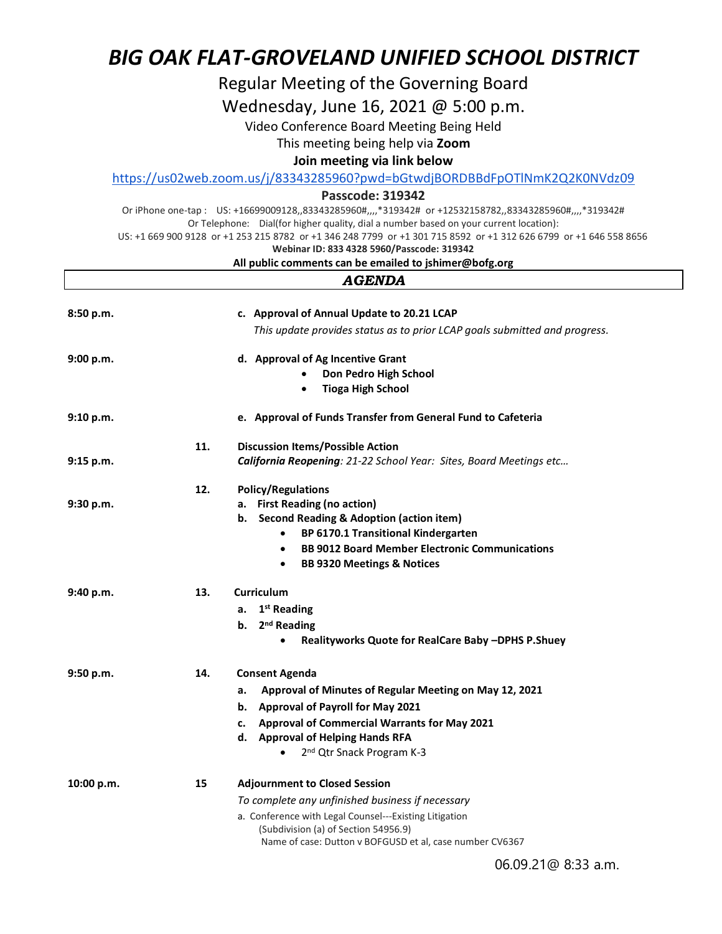Regular Meeting of the Governing Board

Wednesday, June 16, 2021 @ 5:00 p.m.

Video Conference Board Meeting Being Held

This meeting being help via **Zoom**

# **Join meeting via link below**

<https://us02web.zoom.us/j/83343285960?pwd=bGtwdjBORDBBdFpOTlNmK2Q2K0NVdz09>

# **Passcode: 319342**

Or iPhone one-tap : US: +16699009128,,83343285960#,,,,\*319342# or +12532158782,,83343285960#,,,,\*319342# Or Telephone: Dial(for higher quality, dial a number based on your current location):

US: +1 669 900 9128 or +1 253 215 8782 or +1 346 248 7799 or +1 301 715 8592 or +1 312 626 6799 or +1 646 558 8656

# **Webinar ID: 833 4328 5960/Passcode: 319342**

### **All public comments can be emailed to jshimer@bofg.org**  *AGENDA*

| 8:50 p.m.  |     | c. Approval of Annual Update to 20.21 LCAP                                 |
|------------|-----|----------------------------------------------------------------------------|
|            |     | This update provides status as to prior LCAP goals submitted and progress. |
| 9:00 p.m.  |     | d. Approval of Ag Incentive Grant                                          |
|            |     | Don Pedro High School                                                      |
|            |     | <b>Tioga High School</b><br>$\bullet$                                      |
| 9:10 p.m.  |     | e. Approval of Funds Transfer from General Fund to Cafeteria               |
|            | 11. | <b>Discussion Items/Possible Action</b>                                    |
| 9:15 p.m.  |     | California Reopening: 21-22 School Year: Sites, Board Meetings etc         |
|            | 12. | <b>Policy/Regulations</b>                                                  |
| 9:30 p.m.  |     | a. First Reading (no action)                                               |
|            |     | b. Second Reading & Adoption (action item)                                 |
|            |     | BP 6170.1 Transitional Kindergarten<br>$\bullet$                           |
|            |     | <b>BB 9012 Board Member Electronic Communications</b><br>$\bullet$         |
|            |     | <b>BB 9320 Meetings &amp; Notices</b><br>$\bullet$                         |
| 9:40 p.m.  | 13. | <b>Curriculum</b>                                                          |
|            |     | a. $1st$ Reading                                                           |
|            |     | b. 2 <sup>nd</sup> Reading                                                 |
|            |     | Realityworks Quote for RealCare Baby -DPHS P.Shuey                         |
| 9:50 p.m.  | 14. | <b>Consent Agenda</b>                                                      |
|            |     | Approval of Minutes of Regular Meeting on May 12, 2021<br>a.               |
|            |     | b. Approval of Payroll for May 2021                                        |
|            |     | <b>Approval of Commercial Warrants for May 2021</b><br>c.                  |
|            |     | d. Approval of Helping Hands RFA                                           |
|            |     | 2 <sup>nd</sup> Qtr Snack Program K-3                                      |
| 10:00 p.m. | 15  | <b>Adjournment to Closed Session</b>                                       |
|            |     | To complete any unfinished business if necessary                           |
|            |     | a. Conference with Legal Counsel---Existing Litigation                     |
|            |     | (Subdivision (a) of Section 54956.9)                                       |
|            |     | Name of case: Dutton v BOFGUSD et al, case number CV6367                   |
|            |     |                                                                            |